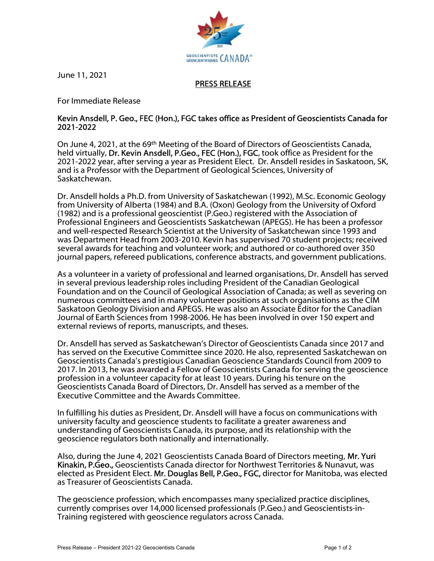

June 11, 2021

## PRESS RELEASE

For Immediate Release

## Kevin Ansdell, P. Geo., FEC (Hon.), FGC takes office as President of Geoscientists Canada for 2021-2022

On June 4, 2021, at the 69th Meeting of the Board of Directors of Geoscientists Canada, held virtually, Dr. Kevin Ansdell, P.Geo., FEC (Hon.), FGC, took office as President for the 2021-2022 year, after serving a year as President Elect. Dr. Ansdell resides in Saskatoon, SK, and is a Professor with the Department of Geological Sciences, University of Saskatchewan.

Dr. Ansdell holds a Ph.D. from University of Saskatchewan (1992), M.Sc. Economic Geology from University of Alberta (1984) and B.A. (Oxon) Geology from the University of Oxford (1982) and is a professional geoscientist (P.Geo.) registered with the Association of Professional Engineers and Geoscientists Saskatchewan (APEGS). He has been a professor and well-respected Research Scientist at the University of Saskatchewan since 1993 and was Department Head from 2003-2010. Kevin has supervised 70 student projects; received several awards for teaching and volunteer work; and authored or co-authored over 350 journal papers, refereed publications, conference abstracts, and government publications.

As a volunteer in a variety of professional and learned organisations, Dr. Ansdell has served in several previous leadership roles including President of the Canadian Geological Foundation and on the Council of Geological Association of Canada; as well as severing on numerous committees and in many volunteer positions at such organisations as the CIM Saskatoon Geology Division and APEGS. He was also an Associate Editor for the Canadian Journal of Earth Sciences from 1998-2006. He has been involved in over 150 expert and external reviews of reports, manuscripts, and theses.

Dr. Ansdell has served as Saskatchewan's Director of Geoscientists Canada since 2017 and has served on the Executive Committee since 2020. He also, represented Saskatchewan on Geoscientists Canada's prestigious Canadian Geoscience Standards Council from 2009 to 2017. In 2013, he was awarded a Fellow of Geoscientists Canada for serving the geoscience profession in a volunteer capacity for at least 10 years. During his tenure on the Geoscientists Canada Board of Directors, Dr. Ansdell has served as a member of the Executive Committee and the Awards Committee.

In fulfilling his duties as President, Dr. Ansdell will have a focus on communications with university faculty and geoscience students to facilitate a greater awareness and understanding of Geoscientists Canada, its purpose, and its relationship with the geoscience regulators both nationally and internationally.

Also, during the June 4, 2021 Geoscientists Canada Board of Directors meeting, Mr. Yuri Kinakin, P.Geo., Geoscientists Canada director for Northwest Territories & Nunavut, was elected as President Elect. Mr. Douglas Bell, P.Geo., FGC, director for Manitoba, was elected as Treasurer of Geoscientists Canada.

The geoscience profession, which encompasses many specialized practice disciplines, currently comprises over 14,000 licensed professionals (P.Geo.) and Geoscientists-in-Training registered with geoscience regulators across Canada.